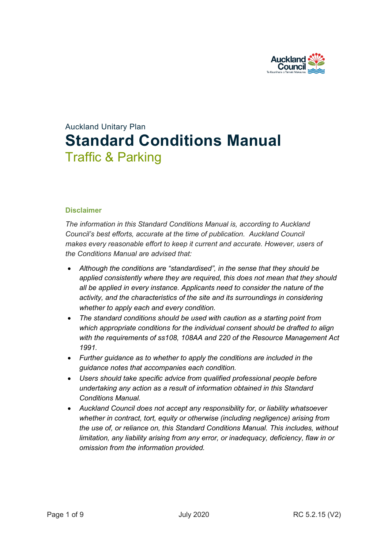

# Auckland Unitary Plan **Standard Conditions Manual** Traffic & Parking

# **Disclaimer**

*The information in this Standard Conditions Manual is, according to Auckland Council's best efforts, accurate at the time of publication. Auckland Council makes every reasonable effort to keep it current and accurate. However, users of the Conditions Manual are advised that:* 

- *Although the conditions are "standardised", in the sense that they should be applied consistently where they are required, this does not mean that they should all be applied in every instance. Applicants need to consider the nature of the activity, and the characteristics of the site and its surroundings in considering whether to apply each and every condition.*
- *The standard conditions should be used with caution as a starting point from which appropriate conditions for the individual consent should be drafted to align with the requirements of ss108, 108AA and 220 of the Resource Management Act 1991.*
- *Further guidance as to whether to apply the conditions are included in the guidance notes that accompanies each condition.*
- *Users should take specific advice from qualified professional people before undertaking any action as a result of information obtained in this Standard Conditions Manual.*
- *Auckland Council does not accept any responsibility for, or liability whatsoever whether in contract, tort, equity or otherwise (including negligence) arising from the use of, or reliance on, this Standard Conditions Manual. This includes, without limitation, any liability arising from any error, or inadequacy, deficiency, flaw in or omission from the information provided.*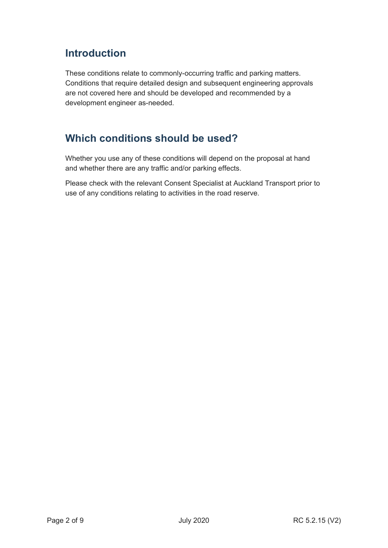# **Introduction**

These conditions relate to commonly-occurring traffic and parking matters. Conditions that require detailed design and subsequent engineering approvals are not covered here and should be developed and recommended by a development engineer as-needed.

# **Which conditions should be used?**

Whether you use any of these conditions will depend on the proposal at hand and whether there are any traffic and/or parking effects.

Please check with the relevant Consent Specialist at Auckland Transport prior to use of any conditions relating to activities in the road reserve.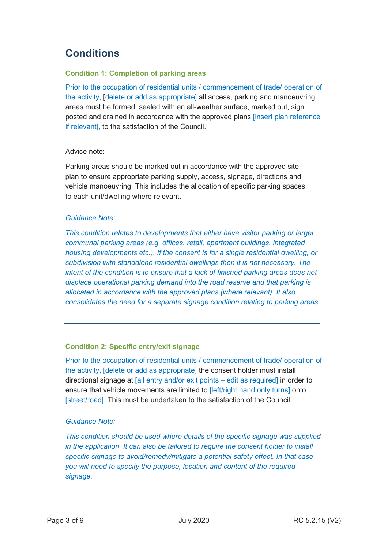# **Conditions**

# **Condition 1: Completion of parking areas**

Prior to the occupation of residential units / commencement of trade/ operation of the activity, [delete or add as appropriate] all access, parking and manoeuvring areas must be formed, sealed with an all-weather surface, marked out, sign posted and drained in accordance with the approved plans [insert plan reference if relevant], to the satisfaction of the Council.

#### Advice note:

Parking areas should be marked out in accordance with the approved site plan to ensure appropriate parking supply, access, signage, directions and vehicle manoeuvring. This includes the allocation of specific parking spaces to each unit/dwelling where relevant.

#### *Guidance Note:*

*This condition relates to developments that either have visitor parking or larger communal parking areas (e.g. offices, retail, apartment buildings, integrated housing developments etc.). If the consent is for a single residential dwelling, or subdivision with standalone residential dwellings then it is not necessary. The intent of the condition is to ensure that a lack of finished parking areas does not displace operational parking demand into the road reserve and that parking is allocated in accordance with the approved plans (where relevant). It also consolidates the need for a separate signage condition relating to parking areas.*

# **Condition 2: Specific entry/exit signage**

Prior to the occupation of residential units / commencement of trade/ operation of the activity, [delete or add as appropriate] the consent holder must install directional signage at [all entry and/or exit points – edit as required] in order to ensure that vehicle movements are limited to [left/right hand only turns] onto [street/road]. This must be undertaken to the satisfaction of the Council.

# *Guidance Note:*

*This condition should be used where details of the specific signage was supplied in the application. It can also be tailored to require the consent holder to install specific signage to avoid/remedy/mitigate a potential safety effect. In that case you will need to specify the purpose, location and content of the required signage.*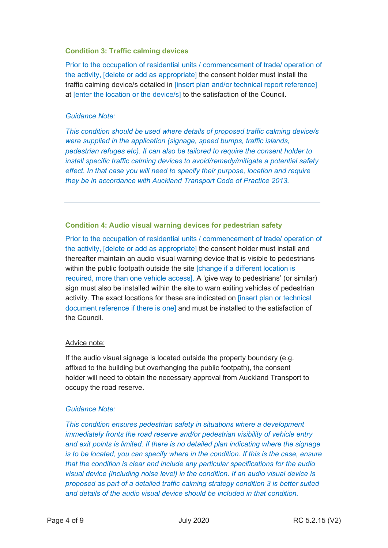#### **Condition 3: Traffic calming devices**

Prior to the occupation of residential units / commencement of trade/ operation of the activity, [delete or add as appropriate] the consent holder must install the traffic calming device/s detailed in [insert plan and/or technical report reference] at [enter the location or the device/s] to the satisfaction of the Council.

### *Guidance Note:*

*This condition should be used where details of proposed traffic calming device/s were supplied in the application (signage, speed bumps, traffic islands, pedestrian refuges etc). It can also be tailored to require the consent holder to install specific traffic calming devices to avoid/remedy/mitigate a potential safety effect. In that case you will need to specify their purpose, location and require they be in accordance with Auckland Transport Code of Practice 2013.* 

# **Condition 4: Audio visual warning devices for pedestrian safety**

Prior to the occupation of residential units / commencement of trade/ operation of the activity, [delete or add as appropriate] the consent holder must install and thereafter maintain an audio visual warning device that is visible to pedestrians within the public footpath outside the site [change if a different location is required, more than one vehicle access]. A 'give way to pedestrians' (or similar) sign must also be installed within the site to warn exiting vehicles of pedestrian activity. The exact locations for these are indicated on [insert plan or technical document reference if there is one] and must be installed to the satisfaction of the Council.

#### Advice note:

If the audio visual signage is located outside the property boundary (e.g. affixed to the building but overhanging the public footpath), the consent holder will need to obtain the necessary approval from Auckland Transport to occupy the road reserve.

# *Guidance Note:*

*This condition ensures pedestrian safety in situations where a development immediately fronts the road reserve and/or pedestrian visibility of vehicle entry and exit points is limited. If there is no detailed plan indicating where the signage is to be located, you can specify where in the condition. If this is the case, ensure that the condition is clear and include any particular specifications for the audio visual device (including noise level) in the condition. If an audio visual device is proposed as part of a detailed traffic calming strategy condition 3 is better suited and details of the audio visual device should be included in that condition.*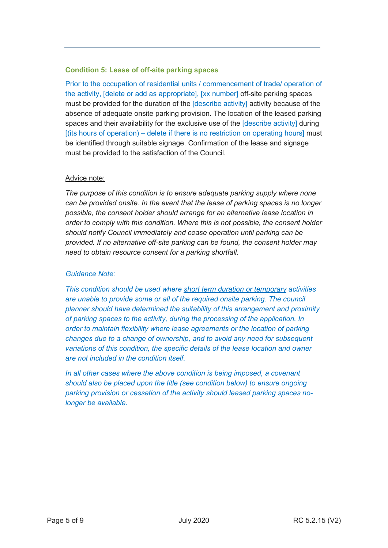# **Condition 5: Lease of off-site parking spaces**

Prior to the occupation of residential units / commencement of trade/ operation of the activity, [delete or add as appropriate], [xx number] off-site parking spaces must be provided for the duration of the [describe activity] activity because of the absence of adequate onsite parking provision. The location of the leased parking spaces and their availability for the exclusive use of the [describe activity] during [(its hours of operation) – delete if there is no restriction on operating hours] must be identified through suitable signage. Confirmation of the lease and signage must be provided to the satisfaction of the Council.

# Advice note:

*The purpose of this condition is to ensure adequate parking supply where none can be provided onsite. In the event that the lease of parking spaces is no longer possible, the consent holder should arrange for an alternative lease location in order to comply with this condition. Where this is not possible, the consent holder should notify Council immediately and cease operation until parking can be provided. If no alternative off-site parking can be found, the consent holder may need to obtain resource consent for a parking shortfall.*

# *Guidance Note:*

*This condition should be used where short term duration or temporary activities are unable to provide some or all of the required onsite parking. The council planner should have determined the suitability of this arrangement and proximity of parking spaces to the activity, during the processing of the application. In order to maintain flexibility where lease agreements or the location of parking changes due to a change of ownership, and to avoid any need for subsequent variations of this condition, the specific details of the lease location and owner are not included in the condition itself.* 

*In all other cases where the above condition is being imposed, a covenant should also be placed upon the title (see condition below) to ensure ongoing parking provision or cessation of the activity should leased parking spaces nolonger be available.*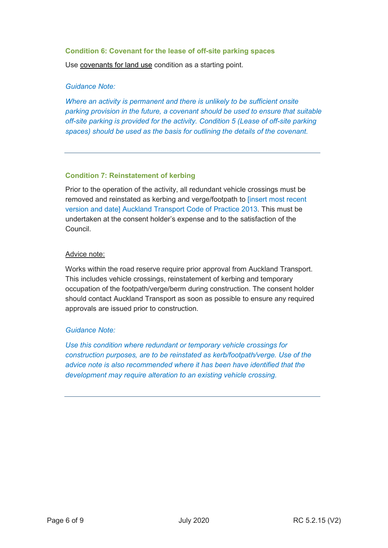#### **Condition 6: Covenant for the lease of off-site parking spaces**

Use covenants for land use condition as a starting point.

### *Guidance Note:*

*Where an activity is permanent and there is unlikely to be sufficient onsite parking provision in the future, a covenant should be used to ensure that suitable off-site parking is provided for the activity. Condition 5 (Lease of off-site parking spaces) should be used as the basis for outlining the details of the covenant.* 

#### **Condition 7: Reinstatement of kerbing**

Prior to the operation of the activity, all redundant vehicle crossings must be removed and reinstated as kerbing and verge/footpath to [insert most recent version and date] Auckland Transport Code of Practice 2013. This must be undertaken at the consent holder's expense and to the satisfaction of the Council.

#### Advice note:

Works within the road reserve require prior approval from Auckland Transport. This includes vehicle crossings, reinstatement of kerbing and temporary occupation of the footpath/verge/berm during construction. The consent holder should contact Auckland Transport as soon as possible to ensure any required approvals are issued prior to construction.

# *Guidance Note:*

*Use this condition where redundant or temporary vehicle crossings for construction purposes, are to be reinstated as kerb/footpath/verge. Use of the advice note is also recommended where it has been have identified that the development may require alteration to an existing vehicle crossing.*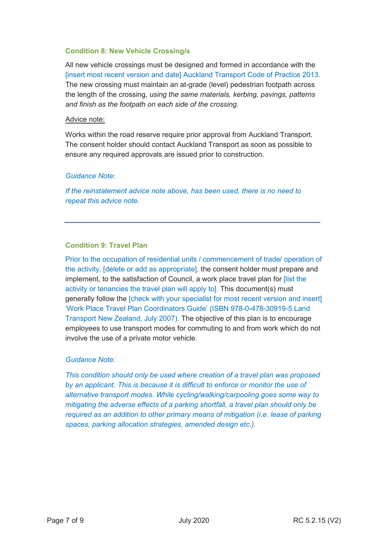### **Condition 8: New Vehicle Crossing/s**

All new vehicle crossings must be designed and formed in accordance with the [insert most recent version and date] Auckland Transport Code of Practice 2013. The new crossing must maintain an at-grade (level) pedestrian footpath across the length of the crossing, *using the same materials, kerbing, pavings, patterns and finish as the footpath on each side of the crossing.*

#### Advice note:

Works within the road reserve require prior approval from Auckland Transport. The consent holder should contact Auckland Transport as soon as possible to ensure any required approvals are issued prior to construction.

# *Guidance Note:*

*If the reinstatement advice note above, has been used, there is no need to repeat this advice note.*

# **Condition 9: Travel Plan**

Prior to the occupation of residential units / commencement of trade/ operation of the activity, [delete or add as appropriate], the consent holder must prepare and implement, to the satisfaction of Council, a work place travel plan for [list the activity or tenancies the travel plan will apply to]. This document(s) must generally follow the [check with your specialist for most recent version and insert] 'Work Place Travel Plan Coordinators Guide' (ISBN 978-0-478-30919-5 Land Transport New Zealand, July 2007). The objective of this plan is to encourage employees to use transport modes for commuting to and from work which do not involve the use of a private motor vehicle.

# *Guidance Note:*

*This condition should only be used where creation of a travel plan was proposed by an applicant. This is because it is difficult to enforce or monitor the use of alternative transport modes. While cycling/walking/carpooling goes some way to mitigating the adverse effects of a parking shortfall, a travel plan should only be required as an addition to other primary means of mitigation (i.e. lease of parking spaces, parking allocation strategies, amended design etc.).*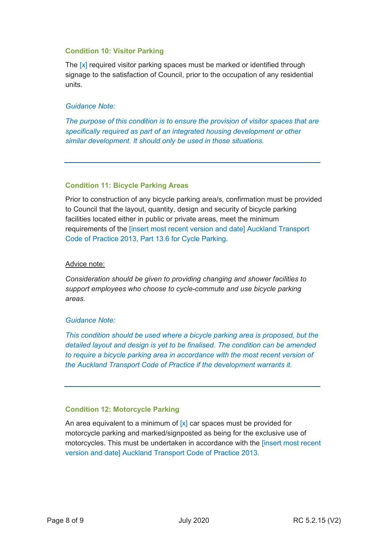# **Condition 10: Visitor Parking**

The [x] required visitor parking spaces must be marked or identified through signage to the satisfaction of Council, prior to the occupation of any residential units.

#### *Guidance Note:*

*The purpose of this condition is to ensure the provision of visitor spaces that are specifically required as part of an integrated housing development or other similar development. It should only be used in those situations.*

#### **Condition 11: Bicycle Parking Areas**

Prior to construction of any bicycle parking area/s, confirmation must be provided to Council that the layout, quantity, design and security of bicycle parking facilities located either in public or private areas, meet the minimum requirements of the [insert most recent version and date] Auckland Transport Code of Practice 2013, Part 13.6 for Cycle Parking.

#### Advice note:

*Consideration should be given to providing changing and shower facilities to support employees who choose to cycle-commute and use bicycle parking areas.* 

# *Guidance Note:*

*This condition should be used where a bicycle parking area is proposed, but the detailed layout and design is yet to be finalised. The condition can be amended to require a bicycle parking area in accordance with the most recent version of the Auckland Transport Code of Practice if the development warrants it.*

# **Condition 12: Motorcycle Parking**

An area equivalent to a minimum of  $[x]$  car spaces must be provided for motorcycle parking and marked/signposted as being for the exclusive use of motorcycles. This must be undertaken in accordance with the [insert most recent version and date] Auckland Transport Code of Practice 2013.